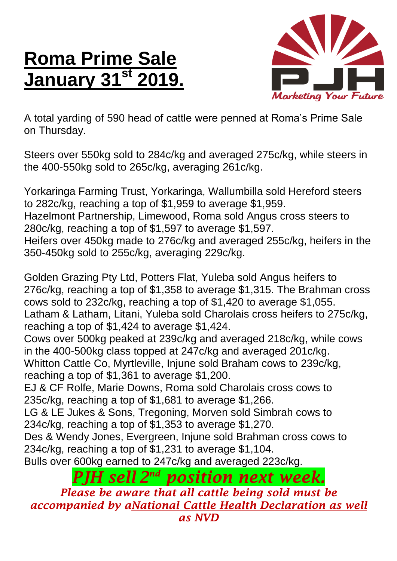## **Roma Prime Sale January 31st 2019.**



A total yarding of 590 head of cattle were penned at Roma's Prime Sale on Thursday.

Steers over 550kg sold to 284c/kg and averaged 275c/kg, while steers in the 400-550kg sold to 265c/kg, averaging 261c/kg.

Yorkaringa Farming Trust, Yorkaringa, Wallumbilla sold Hereford steers to 282c/kg, reaching a top of \$1,959 to average \$1,959. Hazelmont Partnership, Limewood, Roma sold Angus cross steers to 280c/kg, reaching a top of \$1,597 to average \$1,597. Heifers over 450kg made to 276c/kg and averaged 255c/kg, heifers in the 350-450kg sold to 255c/kg, averaging 229c/kg.

Golden Grazing Pty Ltd, Potters Flat, Yuleba sold Angus heifers to 276c/kg, reaching a top of \$1,358 to average \$1,315. The Brahman cross cows sold to 232c/kg, reaching a top of \$1,420 to average \$1,055. Latham & Latham, Litani, Yuleba sold Charolais cross heifers to 275c/kg, reaching a top of \$1,424 to average \$1,424.

Cows over 500kg peaked at 239c/kg and averaged 218c/kg, while cows in the 400-500kg class topped at 247c/kg and averaged 201c/kg. Whitton Cattle Co, Myrtleville, Injune sold Braham cows to 239c/kg,

reaching a top of \$1,361 to average \$1,200.

EJ & CF Rolfe, Marie Downs, Roma sold Charolais cross cows to 235c/kg, reaching a top of \$1,681 to average \$1,266.

LG & LE Jukes & Sons, Tregoning, Morven sold Simbrah cows to 234c/kg, reaching a top of \$1,353 to average \$1,270.

Des & Wendy Jones, Evergreen, Injune sold Brahman cross cows to 234c/kg, reaching a top of \$1,231 to average \$1,104.

Bulls over 600kg earned to 247c/kg and averaged 223c/kg.

*PJH sell 2 nd position next week.*

*Please be aware that all cattle being sold must be accompanied by aNational Cattle Health Declaration as well as NVD*